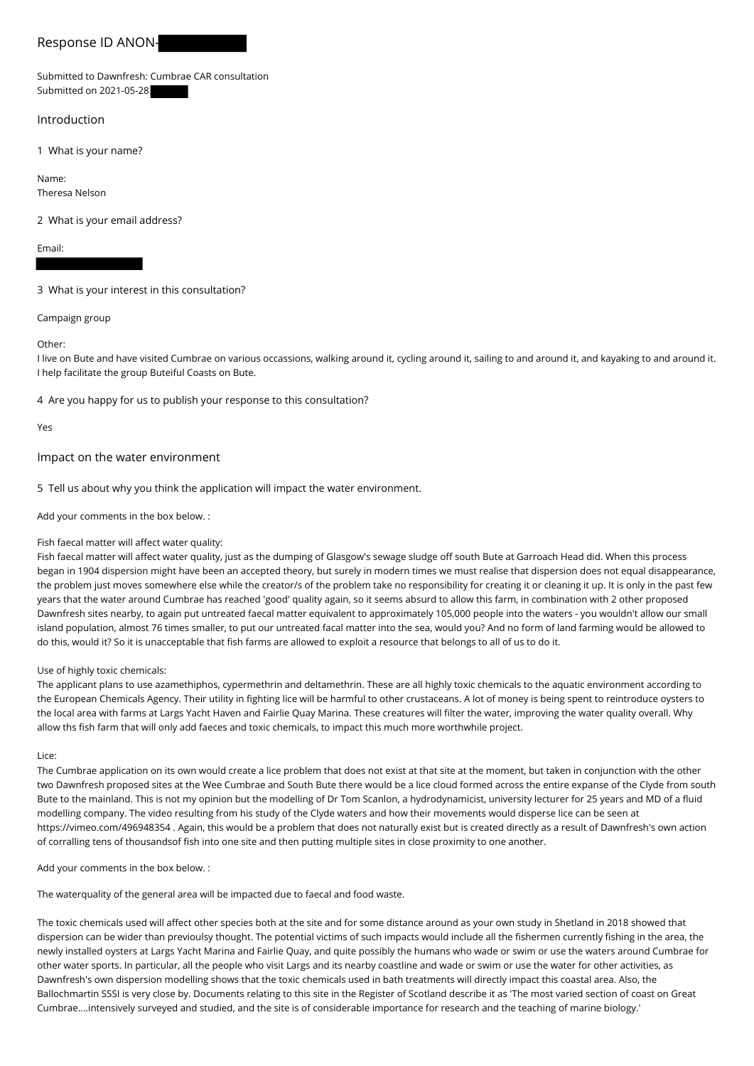# Response ID ANON-

Submitted to Dawnfresh: Cumbrae CAR consultation Submitted on 2021-05-28

## Introduction

1 What is your name?

Name: Theresa Nelson

2 What is your email address?

Email:

3 What is your interest in this consultation?

Campaign group

Other:

I live on Bute and have visited Cumbrae on various occassions, walking around it, cycling around it, sailing to and around it, and kayaking to and around it. I help facilitate the group Buteiful Coasts on Bute.

4 Are you happy for us to publish your response to this consultation?

Yes

Impact on the water environment

5 Tell us about why you think the application will impact the water environment.

Add your comments in the box below. :

### Fish faecal matter will affect water quality:

Fish faecal matter will affect water quality, just as the dumping of Glasgow's sewage sludge off south Bute at Garroach Head did. When this process began in 1904 dispersion might have been an accepted theory, but surely in modern times we must realise that dispersion does not equal disappearance, the problem just moves somewhere else while the creator/s of the problem take no responsibility for creating it or cleaning it up. It is only in the past few years that the water around Cumbrae has reached 'good' quality again, so it seems absurd to allow this farm, in combination with 2 other proposed Dawnfresh sites nearby, to again put untreated faecal matter equivalent to approximately 105,000 people into the waters - you wouldn't allow our small island population, almost 76 times smaller, to put our untreated facal matter into the sea, would you? And no form of land farming would be allowed to do this, would it? So it is unacceptable that fish farms are allowed to exploit a resource that belongs to all of us to do it.

#### Use of highly toxic chemicals:

The applicant plans to use azamethiphos, cypermethrin and deltamethrin. These are all highly toxic chemicals to the aquatic environment according to the European Chemicals Agency. Their utility in fighting lice will be harmful to other crustaceans. A lot of money is being spent to reintroduce oysters to the local area with farms at Largs Yacht Haven and Fairlie Quay Marina. These creatures will filter the water, improving the water quality overall. Why allow ths fish farm that will only add faeces and toxic chemicals, to impact this much more worthwhile project.

Lice:

The Cumbrae application on its own would create a lice problem that does not exist at that site at the moment, but taken in conjunction with the other two Dawnfresh proposed sites at the Wee Cumbrae and South Bute there would be a lice cloud formed across the entire expanse of the Clyde from south Bute to the mainland. This is not my opinion but the modelling of Dr Tom Scanlon, a hydrodynamicist, university lecturer for 25 years and MD of a fluid modelling company. The video resulting from his study of the Clyde waters and how their movements would disperse lice can be seen at https://vimeo.com/496948354 . Again, this would be a problem that does not naturally exist but is created directly as a result of Dawnfresh's own action of corralling tens of thousandsof fish into one site and then putting multiple sites in close proximity to one another.

Add your comments in the box below. :

The waterquality of the general area will be impacted due to faecal and food waste.

The toxic chemicals used will affect other species both at the site and for some distance around as your own study in Shetland in 2018 showed that dispersion can be wider than previoulsy thought. The potential victims of such impacts would include all the fishermen currently fishing in the area, the newly installed oysters at Largs Yacht Marina and Fairlie Quay, and quite possibly the humans who wade or swim or use the waters around Cumbrae for other water sports. In particular, all the people who visit Largs and its nearby coastline and wade or swim or use the water for other activities, as Dawnfresh's own dispersion modelling shows that the toxic chemicals used in bath treatments will directly impact this coastal area. Also, the Ballochmartin SSSI is very close by. Documents relating to this site in the Register of Scotland describe it as 'The most varied section of coast on Great Cumbrae....intensively surveyed and studied, and the site is of considerable importance for research and the teaching of marine biology.'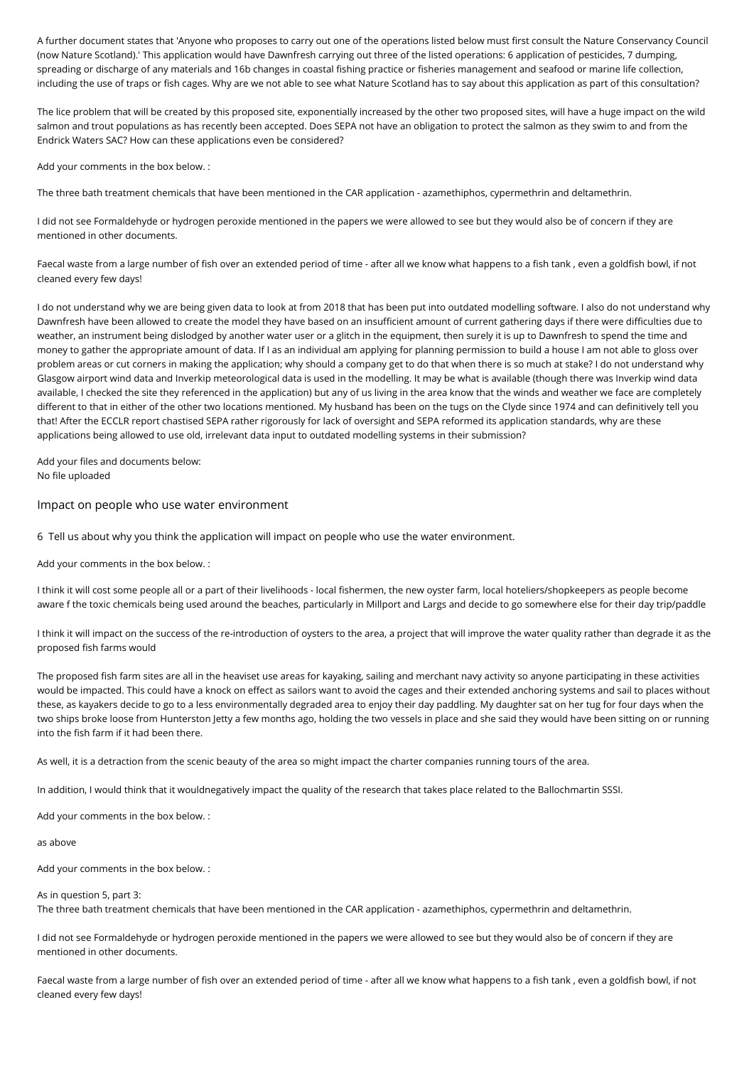A further document states that 'Anyone who proposes to carry out one of the operations listed below must first consult the Nature Conservancy Council (now Nature Scotland).' This application would have Dawnfresh carrying out three of the listed operations: 6 application of pesticides, 7 dumping, spreading or discharge of any materials and 16b changes in coastal fishing practice or fisheries management and seafood or marine life collection, including the use of traps or fish cages. Why are we not able to see what Nature Scotland has to say about this application as part of this consultation?

The lice problem that will be created by this proposed site, exponentially increased by the other two proposed sites, will have a huge impact on the wild salmon and trout populations as has recently been accepted. Does SEPA not have an obligation to protect the salmon as they swim to and from the Endrick Waters SAC? How can these applications even be considered?

Add your comments in the box below. :

The three bath treatment chemicals that have been mentioned in the CAR application - azamethiphos, cypermethrin and deltamethrin.

I did not see Formaldehyde or hydrogen peroxide mentioned in the papers we were allowed to see but they would also be of concern if they are mentioned in other documents.

Faecal waste from a large number of fish over an extended period of time - after all we know what happens to a fish tank , even a goldfish bowl, if not cleaned every few days!

I do not understand why we are being given data to look at from 2018 that has been put into outdated modelling software. I also do not understand why Dawnfresh have been allowed to create the model they have based on an insufficient amount of current gathering days if there were difficulties due to weather, an instrument being dislodged by another water user or a glitch in the equipment, then surely it is up to Dawnfresh to spend the time and money to gather the appropriate amount of data. If I as an individual am applying for planning permission to build a house I am not able to gloss over problem areas or cut corners in making the application; why should a company get to do that when there is so much at stake? I do not understand why Glasgow airport wind data and Inverkip meteorological data is used in the modelling. It may be what is available (though there was Inverkip wind data available, I checked the site they referenced in the application) but any of us living in the area know that the winds and weather we face are completely different to that in either of the other two locations mentioned. My husband has been on the tugs on the Clyde since 1974 and can definitively tell you that! After the ECCLR report chastised SEPA rather rigorously for lack of oversight and SEPA reformed its application standards, why are these applications being allowed to use old, irrelevant data input to outdated modelling systems in their submission?

Add your files and documents below: No file uploaded

## Impact on people who use water environment

6 Tell us about why you think the application will impact on people who use the water environment.

Add your comments in the box below. :

I think it will cost some people all or a part of their livelihoods - local fishermen, the new oyster farm, local hoteliers/shopkeepers as people become aware f the toxic chemicals being used around the beaches, particularly in Millport and Largs and decide to go somewhere else for their day trip/paddle

I think it will impact on the success of the re-introduction of oysters to the area, a project that will improve the water quality rather than degrade it as the proposed fish farms would

The proposed fish farm sites are all in the heaviset use areas for kayaking, sailing and merchant navy activity so anyone participating in these activities would be impacted. This could have a knock on effect as sailors want to avoid the cages and their extended anchoring systems and sail to places without these, as kayakers decide to go to a less environmentally degraded area to enjoy their day paddling. My daughter sat on her tug for four days when the two ships broke loose from Hunterston Jetty a few months ago, holding the two vessels in place and she said they would have been sitting on or running into the fish farm if it had been there.

As well, it is a detraction from the scenic beauty of the area so might impact the charter companies running tours of the area.

In addition, I would think that it wouldnegatively impact the quality of the research that takes place related to the Ballochmartin SSSI.

Add your comments in the box below. :

as above

Add your comments in the box below. :

#### As in question 5, part 3:

The three bath treatment chemicals that have been mentioned in the CAR application - azamethiphos, cypermethrin and deltamethrin.

I did not see Formaldehyde or hydrogen peroxide mentioned in the papers we were allowed to see but they would also be of concern if they are mentioned in other documents.

Faecal waste from a large number of fish over an extended period of time - after all we know what happens to a fish tank , even a goldfish bowl, if not cleaned every few days!